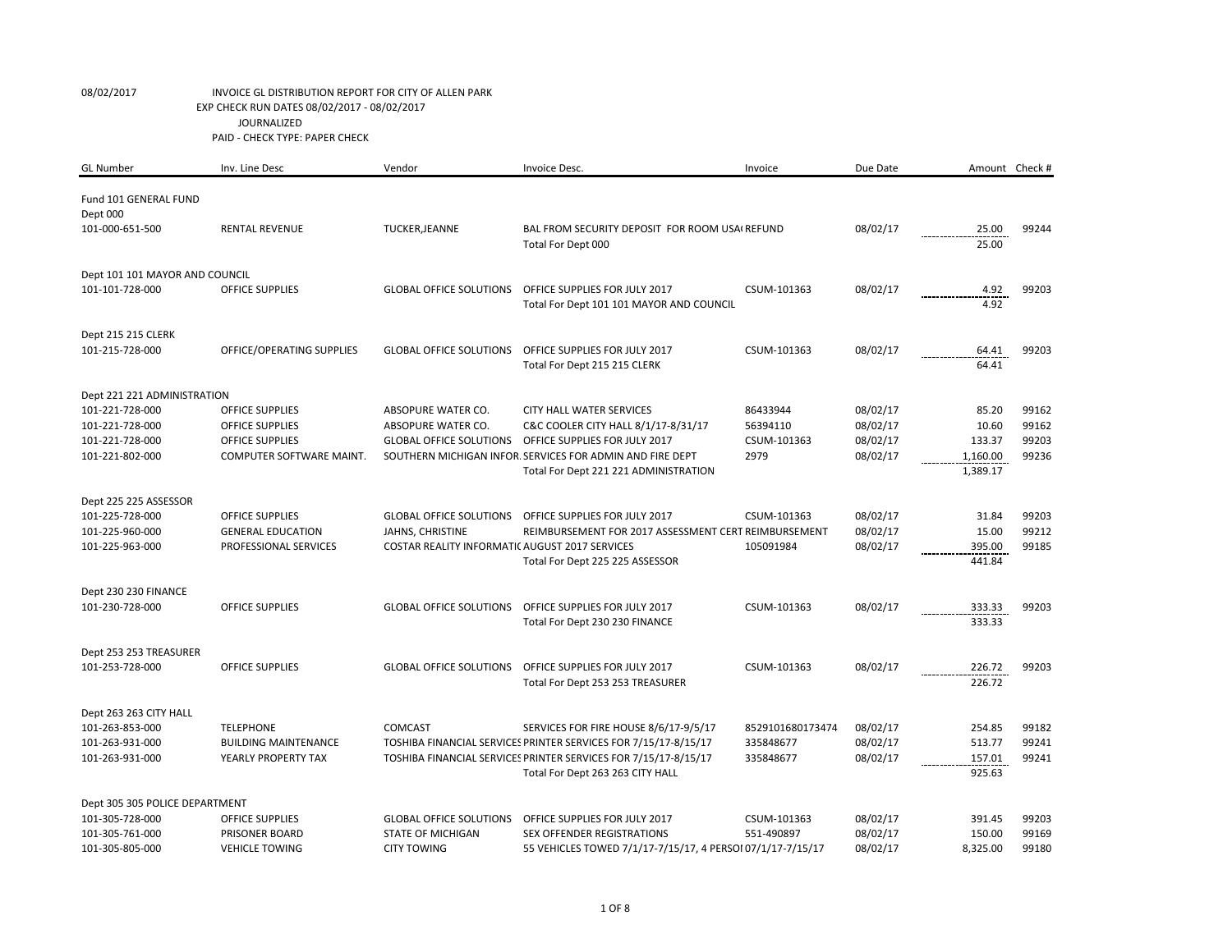| <b>GL Number</b>                   | Inv. Line Desc                          | Vendor                                         | Invoice Desc.                                                                            | Invoice          | Due Date             |                    | Amount Check # |
|------------------------------------|-----------------------------------------|------------------------------------------------|------------------------------------------------------------------------------------------|------------------|----------------------|--------------------|----------------|
|                                    |                                         |                                                |                                                                                          |                  |                      |                    |                |
| Fund 101 GENERAL FUND              |                                         |                                                |                                                                                          |                  |                      |                    |                |
| Dept 000                           |                                         |                                                | BAL FROM SECURITY DEPOSIT FOR ROOM USA REFUND                                            |                  |                      |                    | 99244          |
| 101-000-651-500                    | <b>RENTAL REVENUE</b>                   | TUCKER, JEANNE                                 |                                                                                          |                  | 08/02/17             | 25.00<br>25.00     |                |
|                                    |                                         |                                                | Total For Dept 000                                                                       |                  |                      |                    |                |
| Dept 101 101 MAYOR AND COUNCIL     |                                         |                                                |                                                                                          |                  |                      |                    |                |
| 101-101-728-000                    | OFFICE SUPPLIES                         | <b>GLOBAL OFFICE SOLUTIONS</b>                 | OFFICE SUPPLIES FOR JULY 2017                                                            | CSUM-101363      | 08/02/17             | 4.92               | 99203          |
|                                    |                                         |                                                | Total For Dept 101 101 MAYOR AND COUNCIL                                                 |                  |                      | 4.92               |                |
|                                    |                                         |                                                |                                                                                          |                  |                      |                    |                |
| Dept 215 215 CLERK                 |                                         |                                                |                                                                                          |                  |                      |                    |                |
| 101-215-728-000                    | OFFICE/OPERATING SUPPLIES               | <b>GLOBAL OFFICE SOLUTIONS</b>                 | OFFICE SUPPLIES FOR JULY 2017                                                            | CSUM-101363      | 08/02/17             | 64.41              | 99203          |
|                                    |                                         |                                                | Total For Dept 215 215 CLERK                                                             |                  |                      | 64.41              |                |
| Dept 221 221 ADMINISTRATION        |                                         |                                                |                                                                                          |                  |                      |                    |                |
| 101-221-728-000                    | <b>OFFICE SUPPLIES</b>                  | ABSOPURE WATER CO.                             | <b>CITY HALL WATER SERVICES</b>                                                          | 86433944         | 08/02/17             | 85.20              | 99162          |
| 101-221-728-000                    | <b>OFFICE SUPPLIES</b>                  | ABSOPURE WATER CO.                             | C&C COOLER CITY HALL 8/1/17-8/31/17                                                      | 56394110         | 08/02/17             | 10.60              | 99162          |
| 101-221-728-000                    | <b>OFFICE SUPPLIES</b>                  | <b>GLOBAL OFFICE SOLUTIONS</b>                 | OFFICE SUPPLIES FOR JULY 2017                                                            | CSUM-101363      | 08/02/17             | 133.37             | 99203          |
| 101-221-802-000                    | COMPUTER SOFTWARE MAINT.                |                                                | SOUTHERN MICHIGAN INFOR. SERVICES FOR ADMIN AND FIRE DEPT                                | 2979             | 08/02/17             | 1,160.00           | 99236          |
|                                    |                                         |                                                | Total For Dept 221 221 ADMINISTRATION                                                    |                  |                      | 1,389.17           |                |
|                                    |                                         |                                                |                                                                                          |                  |                      |                    |                |
| Dept 225 225 ASSESSOR              |                                         |                                                |                                                                                          |                  |                      |                    |                |
| 101-225-728-000                    | <b>OFFICE SUPPLIES</b>                  | <b>GLOBAL OFFICE SOLUTIONS</b>                 | OFFICE SUPPLIES FOR JULY 2017                                                            | CSUM-101363      | 08/02/17             | 31.84              | 99203          |
| 101-225-960-000                    | <b>GENERAL EDUCATION</b>                | JAHNS, CHRISTINE                               | REIMBURSEMENT FOR 2017 ASSESSMENT CERT REIMBURSEMENT                                     |                  | 08/02/17             | 15.00              | 99212          |
| 101-225-963-000                    | PROFESSIONAL SERVICES                   | COSTAR REALITY INFORMATIC AUGUST 2017 SERVICES |                                                                                          | 105091984        | 08/02/17             | 395.00             | 99185          |
|                                    |                                         |                                                | Total For Dept 225 225 ASSESSOR                                                          |                  |                      | 441.84             |                |
|                                    |                                         |                                                |                                                                                          |                  |                      |                    |                |
| Dept 230 230 FINANCE               |                                         |                                                |                                                                                          |                  |                      |                    |                |
| 101-230-728-000                    | <b>OFFICE SUPPLIES</b>                  | <b>GLOBAL OFFICE SOLUTIONS</b>                 | OFFICE SUPPLIES FOR JULY 2017                                                            | CSUM-101363      | 08/02/17             | 333.33             | 99203          |
|                                    |                                         |                                                | Total For Dept 230 230 FINANCE                                                           |                  |                      | 333.33             |                |
| Dept 253 253 TREASURER             |                                         |                                                |                                                                                          |                  |                      |                    |                |
| 101-253-728-000                    | <b>OFFICE SUPPLIES</b>                  | <b>GLOBAL OFFICE SOLUTIONS</b>                 | OFFICE SUPPLIES FOR JULY 2017                                                            | CSUM-101363      | 08/02/17             | 226.72             | 99203          |
|                                    |                                         |                                                | Total For Dept 253 253 TREASURER                                                         |                  |                      | 226.72             |                |
|                                    |                                         |                                                |                                                                                          |                  |                      |                    |                |
| Dept 263 263 CITY HALL             |                                         |                                                |                                                                                          |                  |                      |                    |                |
| 101-263-853-000                    | <b>TELEPHONE</b>                        | <b>COMCAST</b>                                 | SERVICES FOR FIRE HOUSE 8/6/17-9/5/17                                                    | 8529101680173474 | 08/02/17             | 254.85             | 99182          |
| 101-263-931-000                    | <b>BUILDING MAINTENANCE</b>             |                                                | TOSHIBA FINANCIAL SERVICES PRINTER SERVICES FOR 7/15/17-8/15/17                          | 335848677        | 08/02/17             | 513.77             | 99241          |
| 101-263-931-000                    | YEARLY PROPERTY TAX                     |                                                | TOSHIBA FINANCIAL SERVICES PRINTER SERVICES FOR 7/15/17-8/15/17                          | 335848677        | 08/02/17             | 157.01             | 99241          |
|                                    |                                         |                                                | Total For Dept 263 263 CITY HALL                                                         |                  |                      | 925.63             |                |
|                                    |                                         |                                                |                                                                                          |                  |                      |                    |                |
| Dept 305 305 POLICE DEPARTMENT     |                                         |                                                |                                                                                          |                  |                      |                    |                |
| 101-305-728-000                    | <b>OFFICE SUPPLIES</b>                  | <b>GLOBAL OFFICE SOLUTIONS</b>                 | OFFICE SUPPLIES FOR JULY 2017                                                            | CSUM-101363      | 08/02/17             | 391.45             | 99203          |
| 101-305-761-000<br>101-305-805-000 | PRISONER BOARD<br><b>VEHICLE TOWING</b> | <b>STATE OF MICHIGAN</b><br><b>CITY TOWING</b> | SEX OFFENDER REGISTRATIONS<br>55 VEHICLES TOWED 7/1/17-7/15/17, 4 PERSOI 07/1/17-7/15/17 | 551-490897       | 08/02/17<br>08/02/17 | 150.00<br>8,325.00 | 99169<br>99180 |
|                                    |                                         |                                                |                                                                                          |                  |                      |                    |                |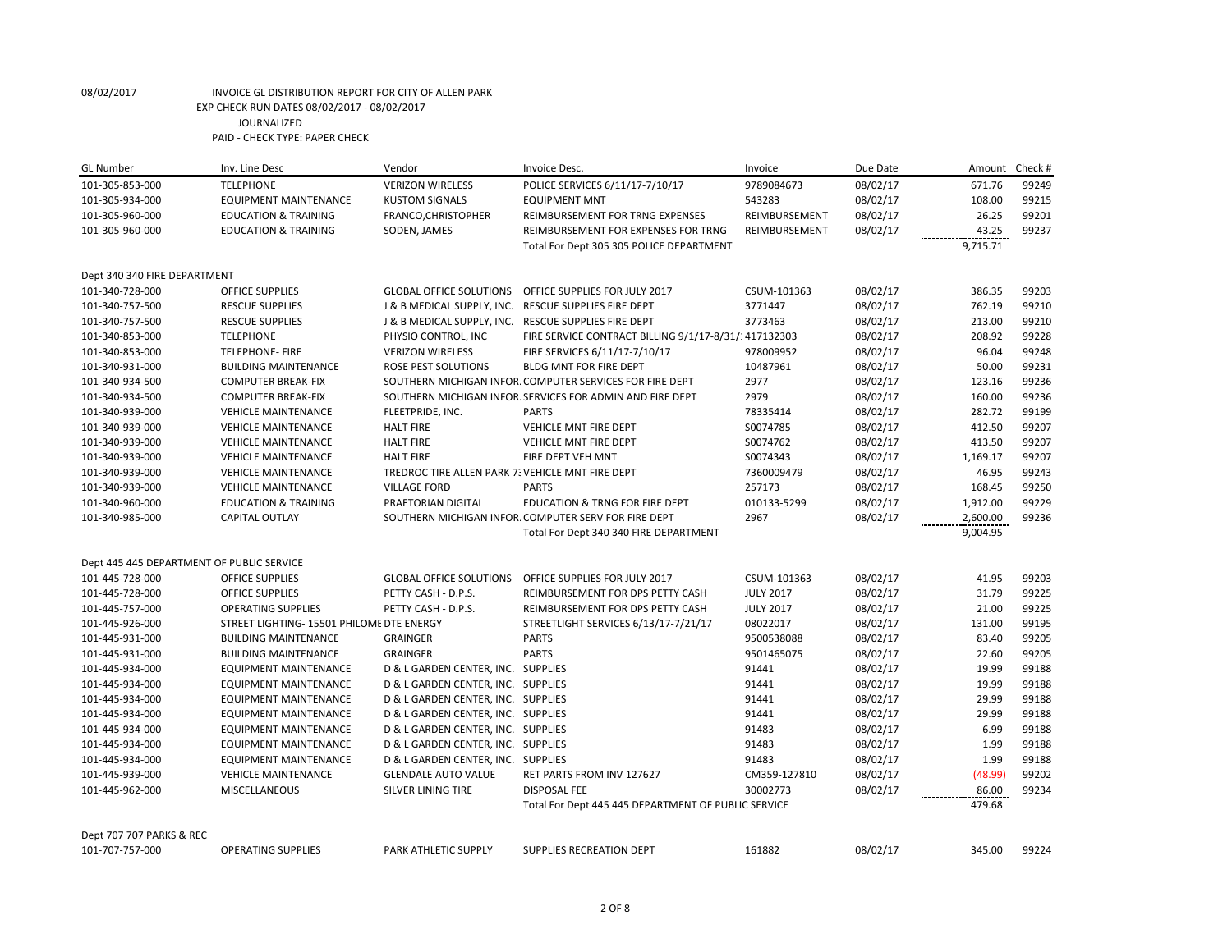| <b>GL Number</b>                          | Inv. Line Desc                            | Vendor                                           | Invoice Desc.                                             | Invoice          | Due Date | Amount   | Check # |
|-------------------------------------------|-------------------------------------------|--------------------------------------------------|-----------------------------------------------------------|------------------|----------|----------|---------|
| 101-305-853-000                           | <b>TELEPHONE</b>                          | <b>VERIZON WIRELESS</b>                          | POLICE SERVICES 6/11/17-7/10/17                           | 9789084673       | 08/02/17 | 671.76   | 99249   |
| 101-305-934-000                           | EQUIPMENT MAINTENANCE                     | <b>KUSTOM SIGNALS</b>                            | <b>EQUIPMENT MNT</b>                                      | 543283           | 08/02/17 | 108.00   | 99215   |
| 101-305-960-000                           | <b>EDUCATION &amp; TRAINING</b>           | FRANCO, CHRISTOPHER                              | REIMBURSEMENT FOR TRNG EXPENSES                           | REIMBURSEMENT    | 08/02/17 | 26.25    | 99201   |
| 101-305-960-000                           | <b>EDUCATION &amp; TRAINING</b>           | SODEN, JAMES                                     | REIMBURSEMENT FOR EXPENSES FOR TRNG                       | REIMBURSEMENT    | 08/02/17 | 43.25    | 99237   |
|                                           |                                           |                                                  | Total For Dept 305 305 POLICE DEPARTMENT                  |                  |          | 9,715.71 |         |
| Dept 340 340 FIRE DEPARTMENT              |                                           |                                                  |                                                           |                  |          |          |         |
| 101-340-728-000                           | <b>OFFICE SUPPLIES</b>                    | <b>GLOBAL OFFICE SOLUTIONS</b>                   | OFFICE SUPPLIES FOR JULY 2017                             | CSUM-101363      | 08/02/17 | 386.35   | 99203   |
| 101-340-757-500                           | <b>RESCUE SUPPLIES</b>                    |                                                  | J & B MEDICAL SUPPLY, INC. RESCUE SUPPLIES FIRE DEPT      | 3771447          | 08/02/17 | 762.19   | 99210   |
| 101-340-757-500                           | <b>RESCUE SUPPLIES</b>                    |                                                  | J & B MEDICAL SUPPLY, INC. RESCUE SUPPLIES FIRE DEPT      | 3773463          | 08/02/17 | 213.00   | 99210   |
| 101-340-853-000                           | <b>TELEPHONE</b>                          | PHYSIO CONTROL, INC                              | FIRE SERVICE CONTRACT BILLING 9/1/17-8/31/1417132303      |                  | 08/02/17 | 208.92   | 99228   |
| 101-340-853-000                           | <b>TELEPHONE-FIRE</b>                     | <b>VERIZON WIRELESS</b>                          | FIRE SERVICES 6/11/17-7/10/17                             | 978009952        | 08/02/17 | 96.04    | 99248   |
| 101-340-931-000                           | <b>BUILDING MAINTENANCE</b>               | ROSE PEST SOLUTIONS                              | BLDG MNT FOR FIRE DEPT                                    | 10487961         | 08/02/17 | 50.00    | 99231   |
| 101-340-934-500                           | <b>COMPUTER BREAK-FIX</b>                 |                                                  | SOUTHERN MICHIGAN INFOR. COMPUTER SERVICES FOR FIRE DEPT  | 2977             | 08/02/17 | 123.16   | 99236   |
| 101-340-934-500                           | <b>COMPUTER BREAK-FIX</b>                 |                                                  | SOUTHERN MICHIGAN INFOR. SERVICES FOR ADMIN AND FIRE DEPT | 2979             | 08/02/17 | 160.00   | 99236   |
| 101-340-939-000                           | <b>VEHICLE MAINTENANCE</b>                | FLEETPRIDE, INC.                                 | <b>PARTS</b>                                              | 78335414         | 08/02/17 | 282.72   | 99199   |
| 101-340-939-000                           | <b>VEHICLE MAINTENANCE</b>                | <b>HALT FIRE</b>                                 | VEHICLE MNT FIRE DEPT                                     | S0074785         | 08/02/17 | 412.50   | 99207   |
| 101-340-939-000                           | <b>VEHICLE MAINTENANCE</b>                | <b>HALT FIRE</b>                                 | <b>VEHICLE MNT FIRE DEPT</b>                              | S0074762         | 08/02/17 | 413.50   | 99207   |
| 101-340-939-000                           | <b>VEHICLE MAINTENANCE</b>                | <b>HALT FIRE</b>                                 | FIRE DEPT VEH MNT                                         | S0074343         | 08/02/17 | 1,169.17 | 99207   |
| 101-340-939-000                           | <b>VEHICLE MAINTENANCE</b>                | TREDROC TIRE ALLEN PARK 7: VEHICLE MNT FIRE DEPT |                                                           | 7360009479       | 08/02/17 | 46.95    | 99243   |
| 101-340-939-000                           | <b>VEHICLE MAINTENANCE</b>                | <b>VILLAGE FORD</b>                              | <b>PARTS</b>                                              | 257173           | 08/02/17 | 168.45   | 99250   |
| 101-340-960-000                           | <b>EDUCATION &amp; TRAINING</b>           | PRAETORIAN DIGITAL                               | <b>EDUCATION &amp; TRNG FOR FIRE DEPT</b>                 | 010133-5299      | 08/02/17 | 1,912.00 | 99229   |
| 101-340-985-000                           | <b>CAPITAL OUTLAY</b>                     |                                                  | SOUTHERN MICHIGAN INFOR. COMPUTER SERV FOR FIRE DEPT      | 2967             | 08/02/17 | 2,600.00 | 99236   |
|                                           |                                           |                                                  | Total For Dept 340 340 FIRE DEPARTMENT                    |                  |          | 9,004.95 |         |
|                                           |                                           |                                                  |                                                           |                  |          |          |         |
| Dept 445 445 DEPARTMENT OF PUBLIC SERVICE |                                           |                                                  |                                                           |                  |          |          |         |
| 101-445-728-000                           | OFFICE SUPPLIES                           | <b>GLOBAL OFFICE SOLUTIONS</b>                   | OFFICE SUPPLIES FOR JULY 2017                             | CSUM-101363      | 08/02/17 | 41.95    | 99203   |
| 101-445-728-000                           | <b>OFFICE SUPPLIES</b>                    | PETTY CASH - D.P.S.                              | REIMBURSEMENT FOR DPS PETTY CASH                          | <b>JULY 2017</b> | 08/02/17 | 31.79    | 99225   |
| 101-445-757-000                           | <b>OPERATING SUPPLIES</b>                 | PETTY CASH - D.P.S.                              | REIMBURSEMENT FOR DPS PETTY CASH                          | <b>JULY 2017</b> | 08/02/17 | 21.00    | 99225   |
| 101-445-926-000                           | STREET LIGHTING- 15501 PHILOME DTE ENERGY |                                                  | STREETLIGHT SERVICES 6/13/17-7/21/17                      | 08022017         | 08/02/17 | 131.00   | 99195   |
| 101-445-931-000                           | <b>BUILDING MAINTENANCE</b>               | <b>GRAINGER</b>                                  | <b>PARTS</b>                                              | 9500538088       | 08/02/17 | 83.40    | 99205   |
| 101-445-931-000                           | <b>BUILDING MAINTENANCE</b>               | <b>GRAINGER</b>                                  | <b>PARTS</b>                                              | 9501465075       | 08/02/17 | 22.60    | 99205   |
| 101-445-934-000                           | <b>EQUIPMENT MAINTENANCE</b>              | D & L GARDEN CENTER, INC. SUPPLIES               |                                                           | 91441            | 08/02/17 | 19.99    | 99188   |
| 101-445-934-000                           | <b>EQUIPMENT MAINTENANCE</b>              | D & L GARDEN CENTER, INC. SUPPLIES               |                                                           | 91441            | 08/02/17 | 19.99    | 99188   |
| 101-445-934-000                           | <b>EQUIPMENT MAINTENANCE</b>              | D & L GARDEN CENTER, INC. SUPPLIES               |                                                           | 91441            | 08/02/17 | 29.99    | 99188   |
| 101-445-934-000                           | <b>EQUIPMENT MAINTENANCE</b>              | D & L GARDEN CENTER, INC. SUPPLIES               |                                                           | 91441            | 08/02/17 | 29.99    | 99188   |
| 101-445-934-000                           | <b>EQUIPMENT MAINTENANCE</b>              | D & L GARDEN CENTER, INC. SUPPLIES               |                                                           | 91483            | 08/02/17 | 6.99     | 99188   |
| 101-445-934-000                           | <b>EQUIPMENT MAINTENANCE</b>              | D & L GARDEN CENTER, INC. SUPPLIES               |                                                           | 91483            | 08/02/17 | 1.99     | 99188   |
| 101-445-934-000                           | <b>EQUIPMENT MAINTENANCE</b>              | D & L GARDEN CENTER, INC. SUPPLIES               |                                                           | 91483            | 08/02/17 | 1.99     | 99188   |
| 101-445-939-000                           | <b>VEHICLE MAINTENANCE</b>                | <b>GLENDALE AUTO VALUE</b>                       | RET PARTS FROM INV 127627                                 | CM359-127810     | 08/02/17 | (48.99)  | 99202   |
| 101-445-962-000                           | <b>MISCELLANEOUS</b>                      | <b>SILVER LINING TIRE</b>                        | <b>DISPOSAL FEE</b>                                       | 30002773         | 08/02/17 | 86.00    | 99234   |
|                                           |                                           |                                                  | Total For Dept 445 445 DEPARTMENT OF PUBLIC SERVICE       |                  |          | 479.68   |         |
| Dept 707 707 PARKS & REC                  |                                           |                                                  |                                                           |                  |          |          |         |
| 101-707-757-000                           | <b>OPERATING SUPPLIES</b>                 | <b>PARK ATHLETIC SUPPLY</b>                      | <b>SUPPLIES RECREATION DEPT</b>                           | 161882           | 08/02/17 | 345.00   | 99224   |
|                                           |                                           |                                                  |                                                           |                  |          |          |         |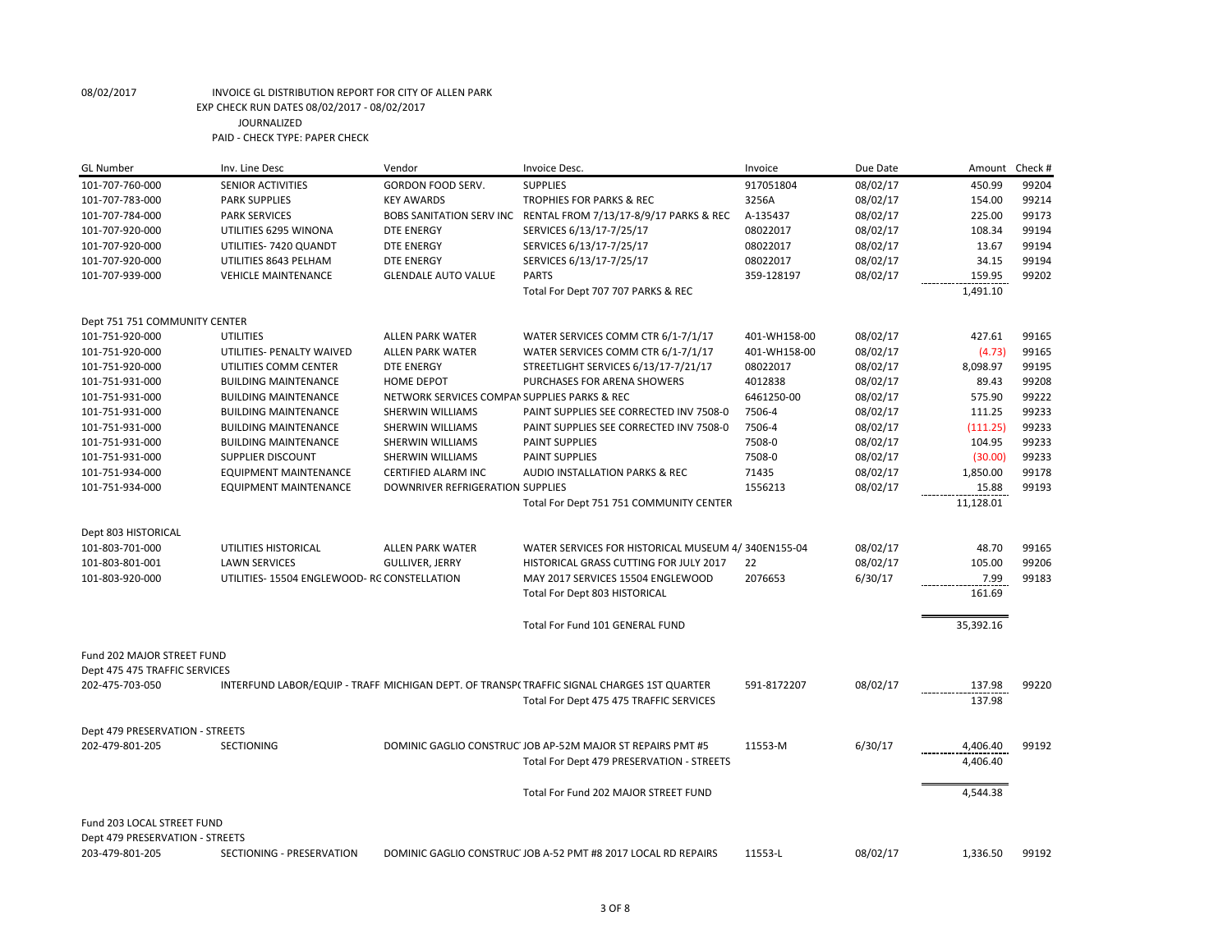| <b>GL Number</b>                | Inv. Line Desc                             | Vendor                                       | Invoice Desc.                                                                              | Invoice      | Due Date | Amount    | Check # |
|---------------------------------|--------------------------------------------|----------------------------------------------|--------------------------------------------------------------------------------------------|--------------|----------|-----------|---------|
| 101-707-760-000                 | SENIOR ACTIVITIES                          | <b>GORDON FOOD SERV.</b>                     | <b>SUPPLIES</b>                                                                            | 917051804    | 08/02/17 | 450.99    | 99204   |
| 101-707-783-000                 | <b>PARK SUPPLIES</b>                       | <b>KEY AWARDS</b>                            | TROPHIES FOR PARKS & REC                                                                   | 3256A        | 08/02/17 | 154.00    | 99214   |
| 101-707-784-000                 | <b>PARK SERVICES</b>                       |                                              | BOBS SANITATION SERV INC RENTAL FROM 7/13/17-8/9/17 PARKS & REC                            | A-135437     | 08/02/17 | 225.00    | 99173   |
| 101-707-920-000                 | UTILITIES 6295 WINONA                      | <b>DTE ENERGY</b>                            | SERVICES 6/13/17-7/25/17                                                                   | 08022017     | 08/02/17 | 108.34    | 99194   |
| 101-707-920-000                 | UTILITIES-7420 QUANDT                      | <b>DTE ENERGY</b>                            | SERVICES 6/13/17-7/25/17                                                                   | 08022017     | 08/02/17 | 13.67     | 99194   |
| 101-707-920-000                 | UTILITIES 8643 PELHAM                      | <b>DTE ENERGY</b>                            | SERVICES 6/13/17-7/25/17                                                                   | 08022017     | 08/02/17 | 34.15     | 99194   |
| 101-707-939-000                 | <b>VEHICLE MAINTENANCE</b>                 | <b>GLENDALE AUTO VALUE</b>                   | <b>PARTS</b>                                                                               | 359-128197   | 08/02/17 | 159.95    | 99202   |
|                                 |                                            |                                              | Total For Dept 707 707 PARKS & REC                                                         |              |          | 1,491.10  |         |
| Dept 751 751 COMMUNITY CENTER   |                                            |                                              |                                                                                            |              |          |           |         |
| 101-751-920-000                 | <b>UTILITIES</b>                           | <b>ALLEN PARK WATER</b>                      | WATER SERVICES COMM CTR 6/1-7/1/17                                                         | 401-WH158-00 | 08/02/17 | 427.61    | 99165   |
| 101-751-920-000                 | UTILITIES- PENALTY WAIVED                  | <b>ALLEN PARK WATER</b>                      | WATER SERVICES COMM CTR 6/1-7/1/17                                                         | 401-WH158-00 | 08/02/17 | (4.73)    | 99165   |
| 101-751-920-000                 | UTILITIES COMM CENTER                      | DTE ENERGY                                   | STREETLIGHT SERVICES 6/13/17-7/21/17                                                       | 08022017     | 08/02/17 | 8,098.97  | 99195   |
| 101-751-931-000                 | <b>BUILDING MAINTENANCE</b>                | <b>HOME DEPOT</b>                            | PURCHASES FOR ARENA SHOWERS                                                                | 4012838      | 08/02/17 | 89.43     | 99208   |
| 101-751-931-000                 | <b>BUILDING MAINTENANCE</b>                | NETWORK SERVICES COMPAN SUPPLIES PARKS & REC |                                                                                            | 6461250-00   | 08/02/17 | 575.90    | 99222   |
| 101-751-931-000                 | <b>BUILDING MAINTENANCE</b>                | SHERWIN WILLIAMS                             | PAINT SUPPLIES SEE CORRECTED INV 7508-0                                                    | 7506-4       | 08/02/17 | 111.25    | 99233   |
| 101-751-931-000                 | <b>BUILDING MAINTENANCE</b>                | SHERWIN WILLIAMS                             | PAINT SUPPLIES SEE CORRECTED INV 7508-0                                                    | 7506-4       | 08/02/17 | (111.25)  | 99233   |
| 101-751-931-000                 | <b>BUILDING MAINTENANCE</b>                | SHERWIN WILLIAMS                             | PAINT SUPPLIES                                                                             | 7508-0       | 08/02/17 | 104.95    | 99233   |
| 101-751-931-000                 | SUPPLIER DISCOUNT                          | SHERWIN WILLIAMS                             | <b>PAINT SUPPLIES</b>                                                                      | 7508-0       | 08/02/17 | (30.00)   | 99233   |
| 101-751-934-000                 | <b>EQUIPMENT MAINTENANCE</b>               | CERTIFIED ALARM INC                          | AUDIO INSTALLATION PARKS & REC                                                             | 71435        | 08/02/17 | 1,850.00  | 99178   |
| 101-751-934-000                 | <b>EQUIPMENT MAINTENANCE</b>               | DOWNRIVER REFRIGERATION SUPPLIES             |                                                                                            | 1556213      | 08/02/17 | 15.88     | 99193   |
|                                 |                                            |                                              | Total For Dept 751 751 COMMUNITY CENTER                                                    |              |          | 11,128.01 |         |
| Dept 803 HISTORICAL             |                                            |                                              |                                                                                            |              |          |           |         |
| 101-803-701-000                 | UTILITIES HISTORICAL                       | <b>ALLEN PARK WATER</b>                      | WATER SERVICES FOR HISTORICAL MUSEUM 4/340EN155-04                                         |              | 08/02/17 | 48.70     | 99165   |
| 101-803-801-001                 | <b>LAWN SERVICES</b>                       | <b>GULLIVER, JERRY</b>                       | HISTORICAL GRASS CUTTING FOR JULY 2017                                                     | 22           | 08/02/17 | 105.00    | 99206   |
| 101-803-920-000                 | UTILITIES-15504 ENGLEWOOD-RC CONSTELLATION |                                              | MAY 2017 SERVICES 15504 ENGLEWOOD                                                          | 2076653      | 6/30/17  | 7.99      | 99183   |
|                                 |                                            |                                              | Total For Dept 803 HISTORICAL                                                              |              |          | 161.69    |         |
|                                 |                                            |                                              | Total For Fund 101 GENERAL FUND                                                            |              |          | 35,392.16 |         |
| Fund 202 MAJOR STREET FUND      |                                            |                                              |                                                                                            |              |          |           |         |
| Dept 475 475 TRAFFIC SERVICES   |                                            |                                              |                                                                                            |              |          |           |         |
| 202-475-703-050                 |                                            |                                              | INTERFUND LABOR/EQUIP - TRAFF MICHIGAN DEPT. OF TRANSPI TRAFFIC SIGNAL CHARGES 1ST QUARTER | 591-8172207  | 08/02/17 | 137.98    | 99220   |
|                                 |                                            |                                              | Total For Dept 475 475 TRAFFIC SERVICES                                                    |              |          | 137.98    |         |
| Dept 479 PRESERVATION - STREETS |                                            |                                              |                                                                                            |              |          |           |         |
| 202-479-801-205                 | <b>SECTIONING</b>                          |                                              | DOMINIC GAGLIO CONSTRUC JOB AP-52M MAJOR ST REPAIRS PMT #5                                 | 11553-M      | 6/30/17  | 4,406.40  | 99192   |
|                                 |                                            |                                              | Total For Dept 479 PRESERVATION - STREETS                                                  |              |          | 4,406.40  |         |
|                                 |                                            |                                              |                                                                                            |              |          |           |         |
|                                 |                                            |                                              | Total For Fund 202 MAJOR STREET FUND                                                       |              |          | 4,544.38  |         |
| Fund 203 LOCAL STREET FUND      |                                            |                                              |                                                                                            |              |          |           |         |
| Dept 479 PRESERVATION - STREETS |                                            |                                              |                                                                                            |              |          |           |         |
| 203-479-801-205                 | SECTIONING - PRESERVATION                  |                                              | DOMINIC GAGLIO CONSTRUC JOB A-52 PMT #8 2017 LOCAL RD REPAIRS                              | 11553-L      | 08/02/17 | 1,336.50  | 99192   |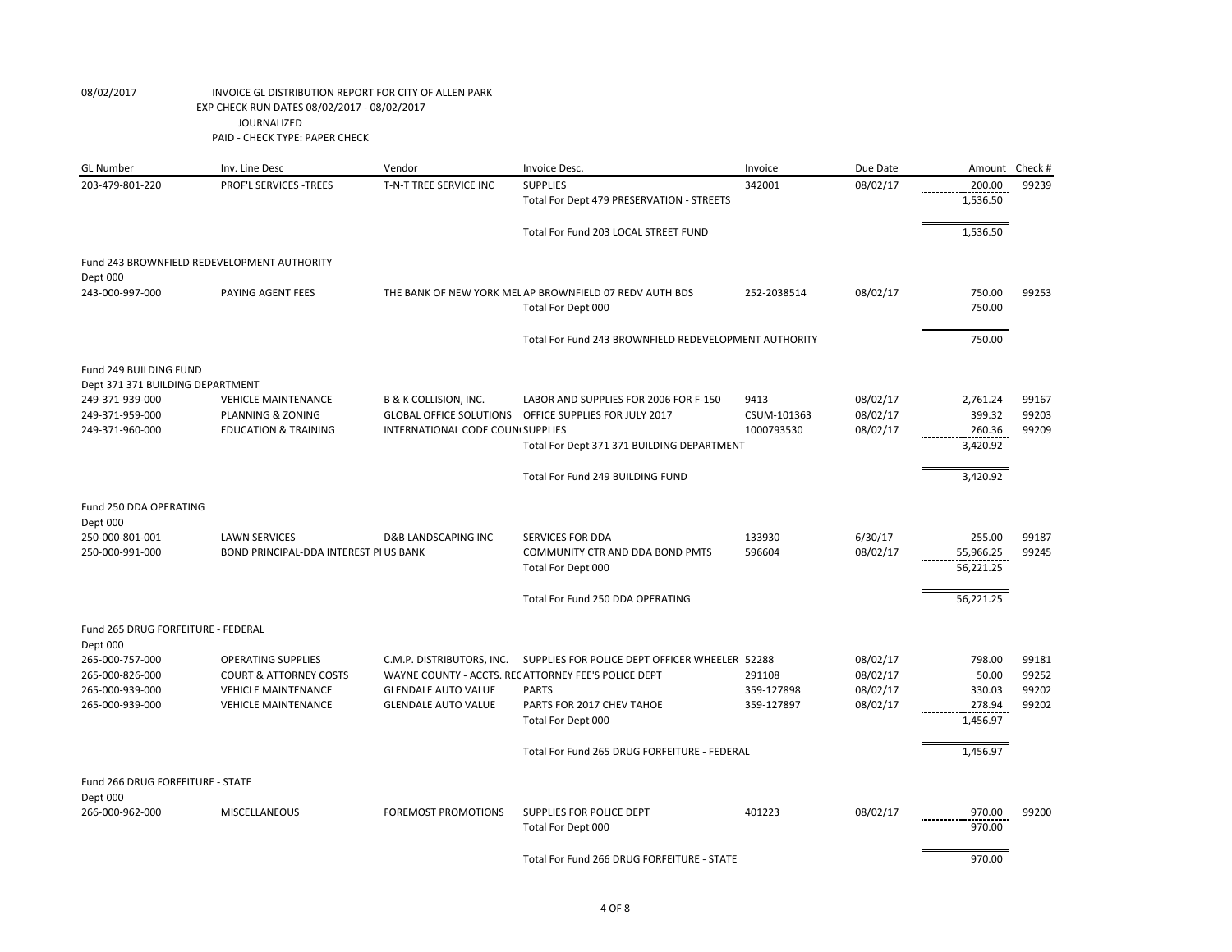| <b>GL Number</b>                                        | Inv. Line Desc                                                 | Vendor                                                             | Invoice Desc.                                                                                         | Invoice             | Due Date             | Amount                           | Check #        |
|---------------------------------------------------------|----------------------------------------------------------------|--------------------------------------------------------------------|-------------------------------------------------------------------------------------------------------|---------------------|----------------------|----------------------------------|----------------|
| 203-479-801-220                                         | <b>PROF'L SERVICES -TREES</b>                                  | T-N-T TREE SERVICE INC                                             | <b>SUPPLIES</b>                                                                                       | 342001              | 08/02/17             | 200.00                           | 99239          |
|                                                         |                                                                |                                                                    | Total For Dept 479 PRESERVATION - STREETS                                                             |                     |                      | 1,536.50                         |                |
|                                                         |                                                                |                                                                    | Total For Fund 203 LOCAL STREET FUND                                                                  |                     |                      | 1,536.50                         |                |
| Fund 243 BROWNFIELD REDEVELOPMENT AUTHORITY<br>Dept 000 |                                                                |                                                                    |                                                                                                       |                     |                      |                                  |                |
| 243-000-997-000                                         | PAYING AGENT FEES                                              |                                                                    | THE BANK OF NEW YORK MEL AP BROWNFIELD 07 REDV AUTH BDS<br>Total For Dept 000                         | 252-2038514         | 08/02/17             | 750.00<br>750.00                 | 99253          |
|                                                         |                                                                |                                                                    | Total For Fund 243 BROWNFIELD REDEVELOPMENT AUTHORITY                                                 |                     |                      | 750.00                           |                |
| Fund 249 BUILDING FUND                                  |                                                                |                                                                    |                                                                                                       |                     |                      |                                  |                |
| Dept 371 371 BUILDING DEPARTMENT                        |                                                                |                                                                    |                                                                                                       |                     |                      |                                  |                |
| 249-371-939-000<br>249-371-959-000                      | <b>VEHICLE MAINTENANCE</b><br>PLANNING & ZONING                | <b>B &amp; K COLLISION, INC.</b><br><b>GLOBAL OFFICE SOLUTIONS</b> | LABOR AND SUPPLIES FOR 2006 FOR F-150<br>OFFICE SUPPLIES FOR JULY 2017                                | 9413<br>CSUM-101363 | 08/02/17<br>08/02/17 | 2,761.24<br>399.32               | 99167<br>99203 |
| 249-371-960-000                                         | <b>EDUCATION &amp; TRAINING</b>                                | <b>INTERNATIONAL CODE COUN SUPPLIES</b>                            |                                                                                                       | 1000793530          | 08/02/17             | 260.36                           | 99209          |
|                                                         |                                                                |                                                                    | Total For Dept 371 371 BUILDING DEPARTMENT                                                            |                     |                      | 3,420.92                         |                |
|                                                         |                                                                |                                                                    |                                                                                                       |                     |                      |                                  |                |
|                                                         |                                                                |                                                                    | Total For Fund 249 BUILDING FUND                                                                      |                     |                      | 3,420.92                         |                |
| Fund 250 DDA OPERATING<br>Dept 000                      |                                                                |                                                                    |                                                                                                       |                     |                      |                                  |                |
| 250-000-801-001<br>250-000-991-000                      | <b>LAWN SERVICES</b><br>BOND PRINCIPAL-DDA INTEREST PI US BANK | <b>D&amp;B LANDSCAPING INC</b>                                     | SERVICES FOR DDA<br>COMMUNITY CTR AND DDA BOND PMTS<br>Total For Dept 000                             | 133930<br>596604    | 6/30/17<br>08/02/17  | 255.00<br>55,966.25<br>56,221.25 | 99187<br>99245 |
|                                                         |                                                                |                                                                    | Total For Fund 250 DDA OPERATING                                                                      |                     |                      | 56,221.25                        |                |
| Fund 265 DRUG FORFEITURE - FEDERAL<br>Dept 000          |                                                                |                                                                    |                                                                                                       |                     |                      |                                  |                |
| 265-000-757-000<br>265-000-826-000                      | <b>OPERATING SUPPLIES</b><br><b>COURT &amp; ATTORNEY COSTS</b> | C.M.P. DISTRIBUTORS, INC.                                          | SUPPLIES FOR POLICE DEPT OFFICER WHEELER 52288<br>WAYNE COUNTY - ACCTS. RECATTORNEY FEE'S POLICE DEPT | 291108              | 08/02/17<br>08/02/17 | 798.00<br>50.00                  | 99181<br>99252 |
| 265-000-939-000                                         | <b>VEHICLE MAINTENANCE</b>                                     | <b>GLENDALE AUTO VALUE</b>                                         | <b>PARTS</b>                                                                                          | 359-127898          | 08/02/17             | 330.03                           | 99202          |
| 265-000-939-000                                         | <b>VEHICLE MAINTENANCE</b>                                     | <b>GLENDALE AUTO VALUE</b>                                         | PARTS FOR 2017 CHEV TAHOE                                                                             | 359-127897          | 08/02/17             | 278.94<br>1,456.97               | 99202          |
|                                                         |                                                                |                                                                    | Total For Dept 000                                                                                    |                     |                      |                                  |                |
|                                                         |                                                                |                                                                    | Total For Fund 265 DRUG FORFEITURE - FEDERAL                                                          |                     |                      | 1,456.97                         |                |
| Fund 266 DRUG FORFEITURE - STATE                        |                                                                |                                                                    |                                                                                                       |                     |                      |                                  |                |
| Dept 000<br>266-000-962-000                             | MISCELLANEOUS                                                  | <b>FOREMOST PROMOTIONS</b>                                         | SUPPLIES FOR POLICE DEPT                                                                              | 401223              | 08/02/17             | 970.00                           | 99200          |
|                                                         |                                                                |                                                                    | Total For Dept 000                                                                                    |                     |                      | 970.00                           |                |
|                                                         |                                                                |                                                                    | Total For Fund 266 DRUG FORFEITURE - STATE                                                            |                     |                      | 970.00                           |                |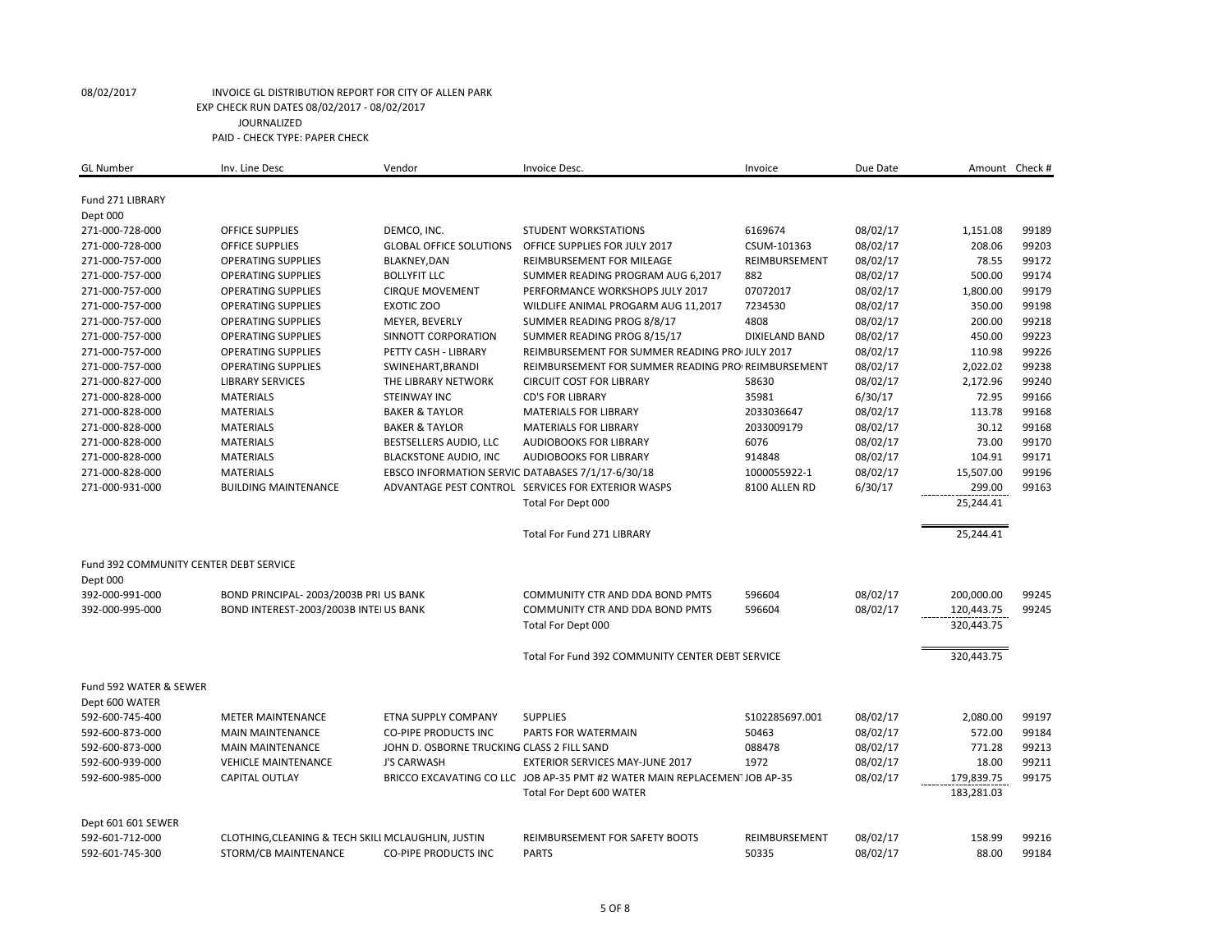| <b>GL Number</b>                       | Inv. Line Desc                                     | Vendor                                            | Invoice Desc.                                                             | Invoice               | Due Date |                    | Amount Check # |
|----------------------------------------|----------------------------------------------------|---------------------------------------------------|---------------------------------------------------------------------------|-----------------------|----------|--------------------|----------------|
|                                        |                                                    |                                                   |                                                                           |                       |          |                    |                |
| Fund 271 LIBRARY                       |                                                    |                                                   |                                                                           |                       |          |                    |                |
| Dept 000<br>271-000-728-000            | <b>OFFICE SUPPLIES</b>                             | DEMCO, INC.                                       | STUDENT WORKSTATIONS                                                      | 6169674               |          |                    | 99189          |
| 271-000-728-000                        | <b>OFFICE SUPPLIES</b>                             | <b>GLOBAL OFFICE SOLUTIONS</b>                    | OFFICE SUPPLIES FOR JULY 2017                                             | CSUM-101363           | 08/02/17 | 1,151.08<br>208.06 | 99203          |
|                                        |                                                    |                                                   |                                                                           |                       | 08/02/17 |                    |                |
| 271-000-757-000                        | <b>OPERATING SUPPLIES</b>                          | BLAKNEY, DAN                                      | REIMBURSEMENT FOR MILEAGE                                                 | REIMBURSEMENT         | 08/02/17 | 78.55              | 99172          |
| 271-000-757-000                        | <b>OPERATING SUPPLIES</b>                          | <b>BOLLYFIT LLC</b>                               | SUMMER READING PROGRAM AUG 6,2017                                         | 882                   | 08/02/17 | 500.00             | 99174          |
| 271-000-757-000                        | <b>OPERATING SUPPLIES</b>                          | <b>CIRQUE MOVEMENT</b>                            | PERFORMANCE WORKSHOPS JULY 2017                                           | 07072017              | 08/02/17 | 1,800.00           | 99179          |
| 271-000-757-000                        | <b>OPERATING SUPPLIES</b>                          | <b>EXOTIC ZOO</b>                                 | WILDLIFE ANIMAL PROGARM AUG 11,2017                                       | 7234530               | 08/02/17 | 350.00             | 99198          |
| 271-000-757-000                        | <b>OPERATING SUPPLIES</b>                          | MEYER, BEVERLY                                    | SUMMER READING PROG 8/8/17                                                | 4808                  | 08/02/17 | 200.00             | 99218          |
| 271-000-757-000                        | <b>OPERATING SUPPLIES</b>                          | SINNOTT CORPORATION                               | SUMMER READING PROG 8/15/17                                               | <b>DIXIELAND BAND</b> | 08/02/17 | 450.00             | 99223          |
| 271-000-757-000                        | <b>OPERATING SUPPLIES</b>                          | PETTY CASH - LIBRARY                              | REIMBURSEMENT FOR SUMMER READING PROJULY 2017                             |                       | 08/02/17 | 110.98             | 99226          |
| 271-000-757-000                        | <b>OPERATING SUPPLIES</b>                          | SWINEHART, BRANDI                                 | REIMBURSEMENT FOR SUMMER READING PRO REIMBURSEMENT                        |                       | 08/02/17 | 2,022.02           | 99238          |
| 271-000-827-000                        | <b>LIBRARY SERVICES</b>                            | THE LIBRARY NETWORK                               | <b>CIRCUIT COST FOR LIBRARY</b>                                           | 58630                 | 08/02/17 | 2,172.96           | 99240          |
| 271-000-828-000                        | <b>MATERIALS</b>                                   | STEINWAY INC                                      | <b>CD'S FOR LIBRARY</b>                                                   | 35981                 | 6/30/17  | 72.95              | 99166          |
| 271-000-828-000                        | <b>MATERIALS</b>                                   | <b>BAKER &amp; TAYLOR</b>                         | MATERIALS FOR LIBRARY                                                     | 2033036647            | 08/02/17 | 113.78             | 99168          |
| 271-000-828-000                        | <b>MATERIALS</b>                                   | <b>BAKER &amp; TAYLOR</b>                         | <b>MATERIALS FOR LIBRARY</b>                                              | 2033009179            | 08/02/17 | 30.12              | 99168          |
| 271-000-828-000                        | <b>MATERIALS</b>                                   | BESTSELLERS AUDIO, LLC                            | AUDIOBOOKS FOR LIBRARY                                                    | 6076                  | 08/02/17 | 73.00              | 99170          |
| 271-000-828-000                        | <b>MATERIALS</b>                                   | <b>BLACKSTONE AUDIO, INC</b>                      | AUDIOBOOKS FOR LIBRARY                                                    | 914848                | 08/02/17 | 104.91             | 99171          |
| 271-000-828-000                        | <b>MATERIALS</b>                                   | EBSCO INFORMATION SERVIC DATABASES 7/1/17-6/30/18 |                                                                           | 1000055922-1          | 08/02/17 | 15,507.00          | 99196          |
| 271-000-931-000                        | <b>BUILDING MAINTENANCE</b>                        |                                                   | ADVANTAGE PEST CONTROL SERVICES FOR EXTERIOR WASPS                        | 8100 ALLEN RD         | 6/30/17  | 299.00             | 99163          |
|                                        |                                                    |                                                   | Total For Dept 000                                                        |                       |          | 25,244.41          |                |
|                                        |                                                    |                                                   | <b>Total For Fund 271 LIBRARY</b>                                         |                       |          | 25,244.41          |                |
| Fund 392 COMMUNITY CENTER DEBT SERVICE |                                                    |                                                   |                                                                           |                       |          |                    |                |
| Dept 000                               |                                                    |                                                   |                                                                           |                       |          |                    |                |
| 392-000-991-000                        | BOND PRINCIPAL- 2003/2003B PRI US BANK             |                                                   | <b>COMMUNITY CTR AND DDA BOND PMTS</b>                                    | 596604                | 08/02/17 | 200,000.00         | 99245          |
| 392-000-995-000                        | BOND INTEREST-2003/2003B INTEI US BANK             |                                                   | COMMUNITY CTR AND DDA BOND PMTS                                           | 596604                | 08/02/17 | 120,443.75         | 99245          |
|                                        |                                                    |                                                   | Total For Dept 000                                                        |                       |          | 320,443.75         |                |
|                                        |                                                    |                                                   | Total For Fund 392 COMMUNITY CENTER DEBT SERVICE                          |                       |          | 320,443.75         |                |
|                                        |                                                    |                                                   |                                                                           |                       |          |                    |                |
| Fund 592 WATER & SEWER                 |                                                    |                                                   |                                                                           |                       |          |                    |                |
| Dept 600 WATER                         |                                                    |                                                   |                                                                           |                       |          |                    |                |
| 592-600-745-400                        | <b>METER MAINTENANCE</b>                           | <b>ETNA SUPPLY COMPANY</b>                        | <b>SUPPLIES</b>                                                           | \$102285697.001       | 08/02/17 | 2,080.00           | 99197          |
| 592-600-873-000                        | <b>MAIN MAINTENANCE</b>                            | <b>CO-PIPE PRODUCTS INC</b>                       | PARTS FOR WATERMAIN                                                       | 50463                 | 08/02/17 | 572.00             | 99184          |
| 592-600-873-000                        | <b>MAIN MAINTENANCE</b>                            | JOHN D. OSBORNE TRUCKING CLASS 2 FILL SAND        |                                                                           | 088478                | 08/02/17 | 771.28             | 99213          |
| 592-600-939-000                        | <b>VEHICLE MAINTENANCE</b>                         | <b>J'S CARWASH</b>                                | EXTERIOR SERVICES MAY-JUNE 2017                                           | 1972                  | 08/02/17 | 18.00              | 99211          |
| 592-600-985-000                        | <b>CAPITAL OUTLAY</b>                              |                                                   | BRICCO EXCAVATING CO LLC JOB AP-35 PMT #2 WATER MAIN REPLACEMENTJOB AP-35 |                       | 08/02/17 | 179,839.75         | 99175          |
|                                        |                                                    |                                                   | Total For Dept 600 WATER                                                  |                       |          | 183,281.03         |                |
| Dept 601 601 SEWER                     |                                                    |                                                   |                                                                           |                       |          |                    |                |
| 592-601-712-000                        | CLOTHING, CLEANING & TECH SKILI MCLAUGHLIN, JUSTIN |                                                   | REIMBURSEMENT FOR SAFETY BOOTS                                            | REIMBURSEMENT         | 08/02/17 | 158.99             | 99216          |
| 592-601-745-300                        | STORM/CB MAINTENANCE                               | <b>CO-PIPE PRODUCTS INC</b>                       | <b>PARTS</b>                                                              | 50335                 | 08/02/17 | 88.00              | 99184          |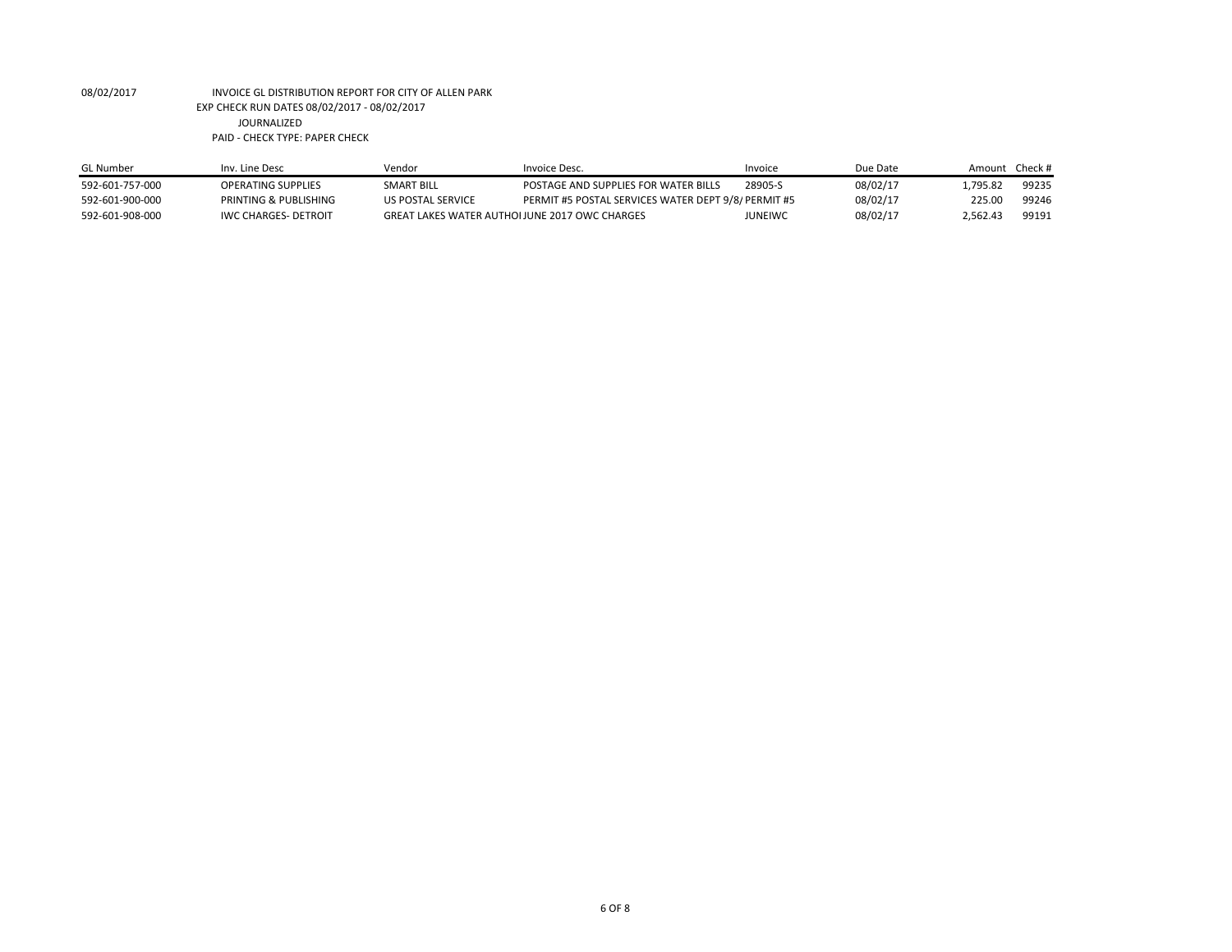| <b>GL</b> Number | Inv. Line Desc              | Vendor                                        | Invoice Desc.                                       | Invoice        | Due Date | Amount Check# |       |
|------------------|-----------------------------|-----------------------------------------------|-----------------------------------------------------|----------------|----------|---------------|-------|
| 592-601-757-000  | OPERATING SUPPLIES          | SMART BILL                                    | POSTAGE AND SUPPLIES FOR WATER BILLS                | 28905-S        | 08/02/17 | .795.82       | 99235 |
| 592-601-900-000  | PRINTING & PUBLISHING       | <b>US POSTAL SERVICE</b>                      | PERMIT #5 POSTAL SERVICES WATER DEPT 9/8/ PERMIT #5 |                | 08/02/17 | 225.00        | 99246 |
| 592-601-908-000  | <b>IWC CHARGES- DETROIT</b> | GREAT LAKES WATER AUTHOLIUNE 2017 OWC CHARGES |                                                     | <b>JUNEIWC</b> | 08/02/17 | 2.562.43      | 99191 |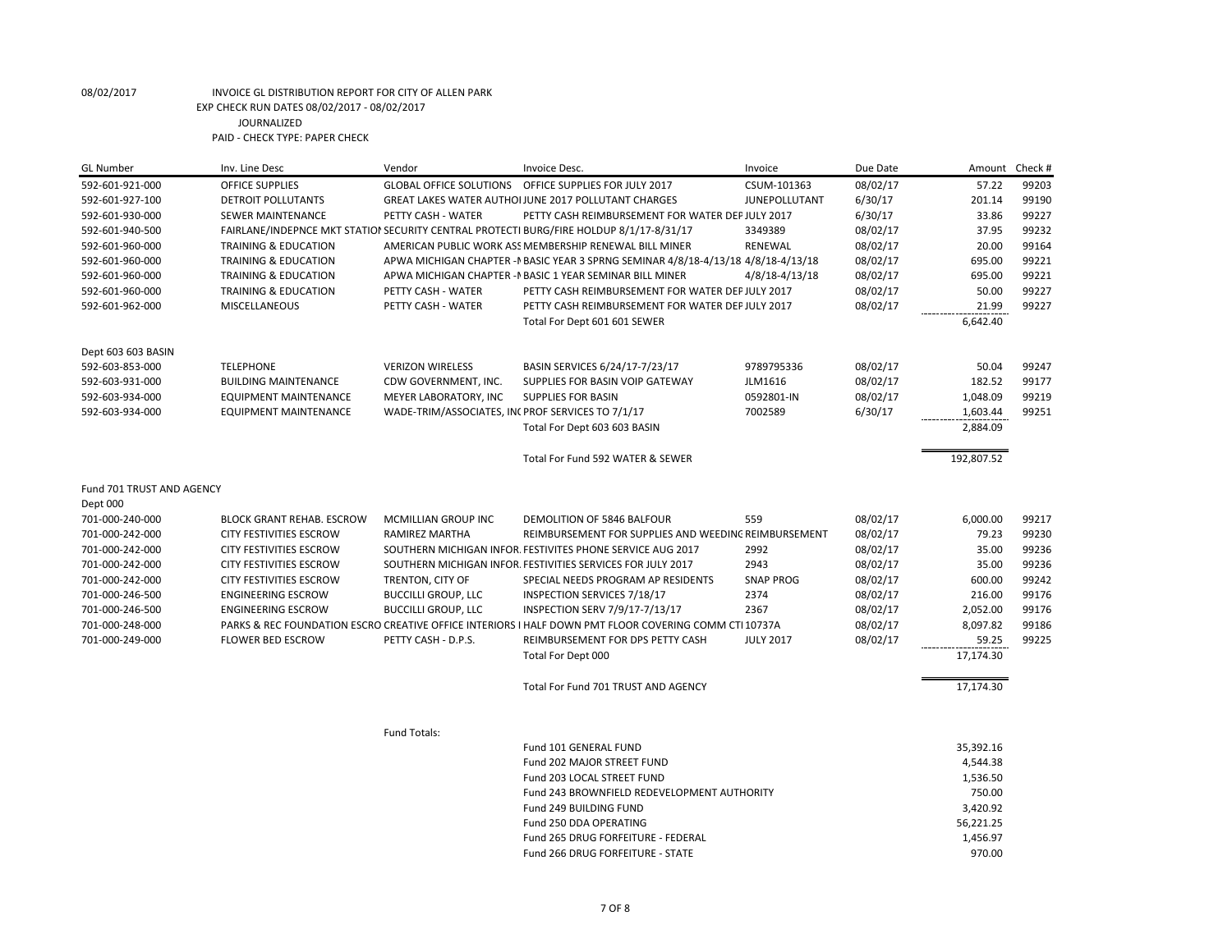| <b>GL Number</b>          | Inv. Line Desc                   | Vendor                                           | Invoice Desc.                                                                                         | Invoice          | Due Date | Amount     | Check # |
|---------------------------|----------------------------------|--------------------------------------------------|-------------------------------------------------------------------------------------------------------|------------------|----------|------------|---------|
| 592-601-921-000           | <b>OFFICE SUPPLIES</b>           |                                                  | GLOBAL OFFICE SOLUTIONS OFFICE SUPPLIES FOR JULY 2017                                                 | CSUM-101363      | 08/02/17 | 57.22      | 99203   |
| 592-601-927-100           | DETROIT POLLUTANTS               |                                                  | GREAT LAKES WATER AUTHOI JUNE 2017 POLLUTANT CHARGES                                                  | JUNEPOLLUTANT    | 6/30/17  | 201.14     | 99190   |
| 592-601-930-000           | SEWER MAINTENANCE                | PETTY CASH - WATER                               | PETTY CASH REIMBURSEMENT FOR WATER DEPJULY 2017                                                       |                  | 6/30/17  | 33.86      | 99227   |
| 592-601-940-500           |                                  |                                                  | FAIRLANE/INDEPNCE MKT STATIOI SECURITY CENTRAL PROTECTI BURG/FIRE HOLDUP 8/1/17-8/31/17               | 3349389          | 08/02/17 | 37.95      | 99232   |
| 592-601-960-000           | TRAINING & EDUCATION             |                                                  | AMERICAN PUBLIC WORK ASS MEMBERSHIP RENEWAL BILL MINER                                                | RENEWAL          | 08/02/17 | 20.00      | 99164   |
| 592-601-960-000           | <b>TRAINING &amp; EDUCATION</b>  |                                                  | APWA MICHIGAN CHAPTER - PBASIC YEAR 3 SPRNG SEMINAR 4/8/18-4/13/18 4/8/18-4/13/18                     |                  | 08/02/17 | 695.00     | 99221   |
| 592-601-960-000           | TRAINING & EDUCATION             |                                                  | APWA MICHIGAN CHAPTER - I BASIC 1 YEAR SEMINAR BILL MINER                                             | 4/8/18-4/13/18   | 08/02/17 | 695.00     | 99221   |
| 592-601-960-000           | <b>TRAINING &amp; EDUCATION</b>  | PETTY CASH - WATER                               | PETTY CASH REIMBURSEMENT FOR WATER DEPJULY 2017                                                       |                  | 08/02/17 | 50.00      | 99227   |
| 592-601-962-000           | MISCELLANEOUS                    | PETTY CASH - WATER                               | PETTY CASH REIMBURSEMENT FOR WATER DEPJULY 2017                                                       |                  | 08/02/17 | 21.99      | 99227   |
|                           |                                  |                                                  | Total For Dept 601 601 SEWER                                                                          |                  |          | 6,642.40   |         |
| Dept 603 603 BASIN        |                                  |                                                  |                                                                                                       |                  |          |            |         |
| 592-603-853-000           | <b>TELEPHONE</b>                 | <b>VERIZON WIRELESS</b>                          | BASIN SERVICES 6/24/17-7/23/17                                                                        | 9789795336       | 08/02/17 | 50.04      | 99247   |
| 592-603-931-000           | <b>BUILDING MAINTENANCE</b>      | CDW GOVERNMENT, INC.                             | SUPPLIES FOR BASIN VOIP GATEWAY                                                                       | JLM1616          | 08/02/17 | 182.52     | 99177   |
| 592-603-934-000           | <b>EQUIPMENT MAINTENANCE</b>     | MEYER LABORATORY, INC                            | <b>SUPPLIES FOR BASIN</b>                                                                             | 0592801-IN       | 08/02/17 | 1,048.09   | 99219   |
| 592-603-934-000           | <b>EQUIPMENT MAINTENANCE</b>     | WADE-TRIM/ASSOCIATES, INCPROF SERVICES TO 7/1/17 |                                                                                                       | 7002589          | 6/30/17  | 1,603.44   | 99251   |
|                           |                                  |                                                  | Total For Dept 603 603 BASIN                                                                          |                  |          | 2,884.09   |         |
|                           |                                  |                                                  | Total For Fund 592 WATER & SEWER                                                                      |                  |          | 192,807.52 |         |
| Fund 701 TRUST AND AGENCY |                                  |                                                  |                                                                                                       |                  |          |            |         |
| Dept 000                  |                                  |                                                  |                                                                                                       |                  |          |            |         |
| 701-000-240-000           | <b>BLOCK GRANT REHAB. ESCROW</b> | MCMILLIAN GROUP INC                              | DEMOLITION OF 5846 BALFOUR                                                                            | 559              | 08/02/17 | 6,000.00   | 99217   |
| 701-000-242-000           | <b>CITY FESTIVITIES ESCROW</b>   | RAMIREZ MARTHA                                   | REIMBURSEMENT FOR SUPPLIES AND WEEDING REIMBURSEMENT                                                  |                  | 08/02/17 | 79.23      | 99230   |
| 701-000-242-000           | <b>CITY FESTIVITIES ESCROW</b>   |                                                  | SOUTHERN MICHIGAN INFOR. FESTIVITES PHONE SERVICE AUG 2017                                            | 2992             | 08/02/17 | 35.00      | 99236   |
| 701-000-242-000           | CITY FESTIVITIES ESCROW          |                                                  | SOUTHERN MICHIGAN INFOR. FESTIVITIES SERVICES FOR JULY 2017                                           | 2943             | 08/02/17 | 35.00      | 99236   |
| 701-000-242-000           | <b>CITY FESTIVITIES ESCROW</b>   | TRENTON, CITY OF                                 | SPECIAL NEEDS PROGRAM AP RESIDENTS                                                                    | <b>SNAP PROG</b> | 08/02/17 | 600.00     | 99242   |
| 701-000-246-500           | <b>ENGINEERING ESCROW</b>        | <b>BUCCILLI GROUP, LLC</b>                       | INSPECTION SERVICES 7/18/17                                                                           | 2374             | 08/02/17 | 216.00     | 99176   |
| 701-000-246-500           | <b>ENGINEERING ESCROW</b>        | <b>BUCCILLI GROUP, LLC</b>                       | INSPECTION SERV 7/9/17-7/13/17                                                                        | 2367             | 08/02/17 | 2,052.00   | 99176   |
| 701-000-248-000           |                                  |                                                  | PARKS & REC FOUNDATION ESCRO CREATIVE OFFICE INTERIORS I HALF DOWN PMT FLOOR COVERING COMM CTI 10737A |                  | 08/02/17 | 8,097.82   | 99186   |
| 701-000-249-000           | <b>FLOWER BED ESCROW</b>         | PETTY CASH - D.P.S.                              | REIMBURSEMENT FOR DPS PETTY CASH                                                                      | <b>JULY 2017</b> | 08/02/17 | 59.25      | 99225   |
|                           |                                  |                                                  | Total For Dept 000                                                                                    |                  |          | 17,174.30  |         |
|                           |                                  |                                                  | Total For Fund 701 TRUST AND AGENCY                                                                   |                  |          | 17,174.30  |         |
|                           |                                  | Fund Totals:                                     |                                                                                                       |                  |          |            |         |
|                           |                                  |                                                  | Fund 101 GENERAL FUND                                                                                 |                  |          | 35,392.16  |         |
|                           |                                  |                                                  | Fund 202 MAJOR STREET FUND                                                                            |                  |          | 4,544.38   |         |
|                           |                                  |                                                  | Fund 203 LOCAL STREET FUND                                                                            |                  |          | 1,536.50   |         |
|                           |                                  |                                                  | Fund 243 BROWNFIELD REDEVELOPMENT AUTHORITY                                                           |                  |          | 750.00     |         |
|                           |                                  |                                                  | Fund 249 BUILDING FUND                                                                                |                  |          | 3,420.92   |         |
|                           |                                  |                                                  | Fund 250 DDA OPERATING                                                                                |                  |          | 56,221.25  |         |
|                           |                                  |                                                  | Fund 265 DRUG FORFEITURE - FEDERAL                                                                    |                  |          | 1,456.97   |         |

Fund 266 DRUG FORFEITURE - STATE 970.00